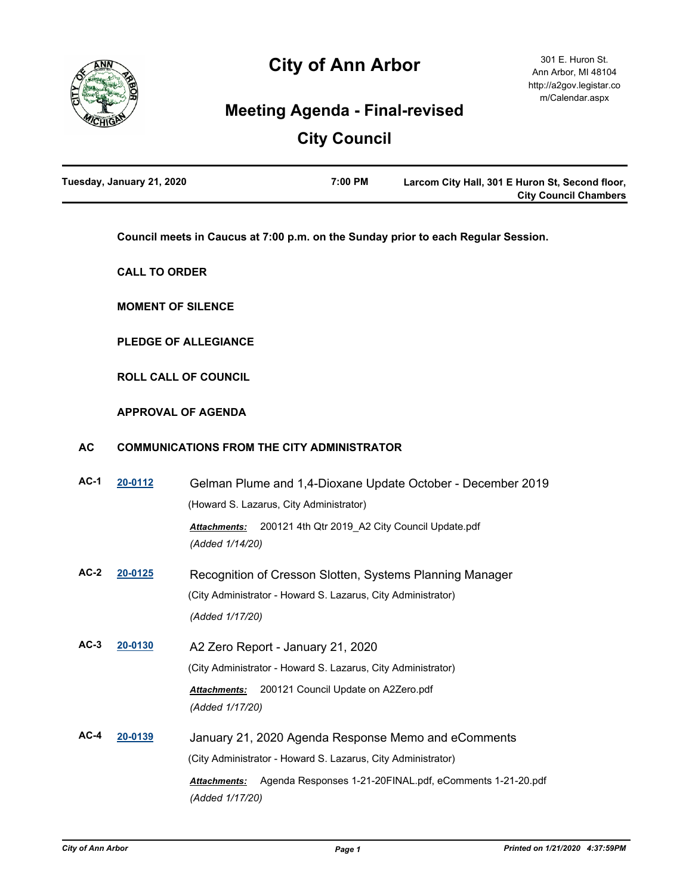

# **City of Ann Arbor**

## **Meeting Agenda - Final-revised**

# **City Council**

| Tuesday, January 21, 2020 | 7:00 PM | Larcom City Hall, 301 E Huron St, Second floor, |
|---------------------------|---------|-------------------------------------------------|
|                           |         | <b>City Council Chambers</b>                    |

**Council meets in Caucus at 7:00 p.m. on the Sunday prior to each Regular Session.**

**CALL TO ORDER**

**MOMENT OF SILENCE**

**PLEDGE OF ALLEGIANCE**

**ROLL CALL OF COUNCIL**

#### **APPROVAL OF AGENDA**

#### **AC COMMUNICATIONS FROM THE CITY ADMINISTRATOR**

| $AC-1$ | 20-0112 | Gelman Plume and 1,4-Dioxane Update October - December 2019                     |  |
|--------|---------|---------------------------------------------------------------------------------|--|
|        |         | (Howard S. Lazarus, City Administrator)                                         |  |
|        |         | 200121 4th Qtr 2019_A2 City Council Update.pdf<br><b>Attachments:</b>           |  |
|        |         | (Added 1/14/20)                                                                 |  |
| $AC-2$ | 20-0125 | Recognition of Cresson Slotten, Systems Planning Manager                        |  |
|        |         | (City Administrator - Howard S. Lazarus, City Administrator)                    |  |
|        |         | (Added 1/17/20)                                                                 |  |
| $AC-3$ | 20-0130 | A2 Zero Report - January 21, 2020                                               |  |
|        |         | (City Administrator - Howard S. Lazarus, City Administrator)                    |  |
|        |         | 200121 Council Update on A2Zero.pdf<br><b>Attachments:</b>                      |  |
|        |         | (Added 1/17/20)                                                                 |  |
| $AC-4$ | 20-0139 | January 21, 2020 Agenda Response Memo and eComments                             |  |
|        |         | (City Administrator - Howard S. Lazarus, City Administrator)                    |  |
|        |         | Agenda Responses 1-21-20FINAL.pdf, eComments 1-21-20.pdf<br><b>Attachments:</b> |  |
|        |         | (Added 1/17/20)                                                                 |  |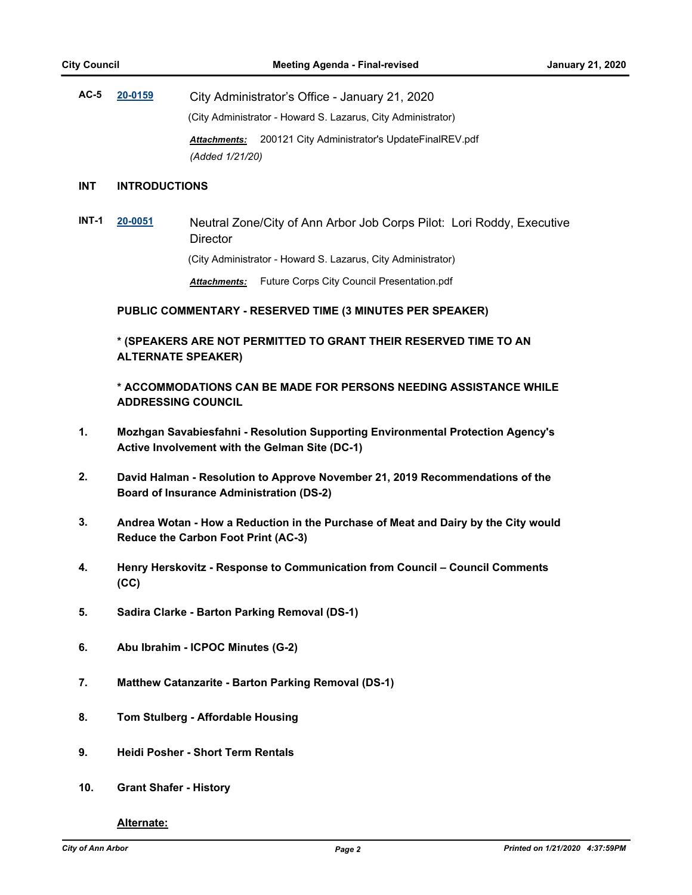**AC-5 [20-0159](http://a2gov.legistar.com/gateway.aspx?M=L&ID=24195)** City Administrator's Office - January 21, 2020 (City Administrator - Howard S. Lazarus, City Administrator) *Attachments:* 200121 City Administrator's UpdateFinalREV.pdf *(Added 1/21/20)*

#### **INT INTRODUCTIONS**

**INT-1 [20-0051](http://a2gov.legistar.com/gateway.aspx?M=L&ID=24090)** Neutral Zone/City of Ann Arbor Job Corps Pilot: Lori Roddy, Executive **Director** 

(City Administrator - Howard S. Lazarus, City Administrator)

*Attachments:* Future Corps City Council Presentation.pdf

**PUBLIC COMMENTARY - RESERVED TIME (3 MINUTES PER SPEAKER)**

**\* (SPEAKERS ARE NOT PERMITTED TO GRANT THEIR RESERVED TIME TO AN ALTERNATE SPEAKER)**

**\* ACCOMMODATIONS CAN BE MADE FOR PERSONS NEEDING ASSISTANCE WHILE ADDRESSING COUNCIL**

- **1. Mozhgan Savabiesfahni Resolution Supporting Environmental Protection Agency's Active Involvement with the Gelman Site (DC-1)**
- **2. David Halman Resolution to Approve November 21, 2019 Recommendations of the Board of Insurance Administration (DS-2)**
- **3. Andrea Wotan How a Reduction in the Purchase of Meat and Dairy by the City would Reduce the Carbon Foot Print (AC-3)**
- **4. Henry Herskovitz Response to Communication from Council Council Comments (CC)**
- **5. Sadira Clarke Barton Parking Removal (DS-1)**
- **6. Abu Ibrahim ICPOC Minutes (G-2)**
- **7. Matthew Catanzarite Barton Parking Removal (DS-1)**
- **8. Tom Stulberg Affordable Housing**
- **9. Heidi Posher Short Term Rentals**
- **10. Grant Shafer History**

**Alternate:**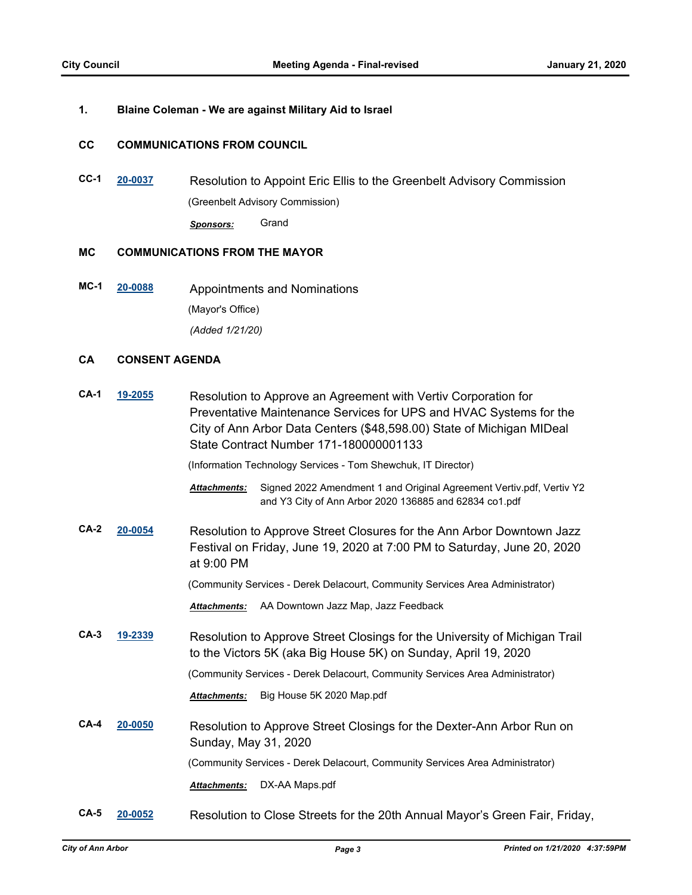#### **1. Blaine Coleman - We are against Military Aid to Israel**

#### **CC COMMUNICATIONS FROM COUNCIL**

**CC-1 [20-0037](http://a2gov.legistar.com/gateway.aspx?M=L&ID=24076)** Resolution to Appoint Eric Ellis to the Greenbelt Advisory Commission (Greenbelt Advisory Commission) *Sponsors:* Grand

#### **MC COMMUNICATIONS FROM THE MAYOR**

**MC-1 [20-0088](http://a2gov.legistar.com/gateway.aspx?M=L&ID=24127)** Appointments and Nominations (Mayor's Office) *(Added 1/21/20)*

#### **CA CONSENT AGENDA**

| $CA-1$ | 19-2055 | Resolution to Approve an Agreement with Vertiv Corporation for<br>Preventative Maintenance Services for UPS and HVAC Systems for the<br>City of Ann Arbor Data Centers (\$48,598.00) State of Michigan MIDeal<br>State Contract Number 171-180000001133 |  |  |
|--------|---------|---------------------------------------------------------------------------------------------------------------------------------------------------------------------------------------------------------------------------------------------------------|--|--|
|        |         | (Information Technology Services - Tom Shewchuk, IT Director)                                                                                                                                                                                           |  |  |
|        |         | Signed 2022 Amendment 1 and Original Agreement Vertiv.pdf, Vertiv Y2<br><b>Attachments:</b><br>and Y3 City of Ann Arbor 2020 136885 and 62834 co1.pdf                                                                                                   |  |  |
| $CA-2$ | 20-0054 | Resolution to Approve Street Closures for the Ann Arbor Downtown Jazz<br>Festival on Friday, June 19, 2020 at 7:00 PM to Saturday, June 20, 2020<br>at 9:00 PM                                                                                          |  |  |
|        |         | (Community Services - Derek Delacourt, Community Services Area Administrator)                                                                                                                                                                           |  |  |
|        |         | AA Downtown Jazz Map, Jazz Feedback<br><b>Attachments:</b>                                                                                                                                                                                              |  |  |
| $CA-3$ | 19-2339 | Resolution to Approve Street Closings for the University of Michigan Trail<br>to the Victors 5K (aka Big House 5K) on Sunday, April 19, 2020                                                                                                            |  |  |
|        |         | (Community Services - Derek Delacourt, Community Services Area Administrator)                                                                                                                                                                           |  |  |
|        |         | Big House 5K 2020 Map.pdf<br><b>Attachments:</b>                                                                                                                                                                                                        |  |  |
| $CA-4$ | 20-0050 | Resolution to Approve Street Closings for the Dexter-Ann Arbor Run on<br>Sunday, May 31, 2020                                                                                                                                                           |  |  |
|        |         | (Community Services - Derek Delacourt, Community Services Area Administrator)                                                                                                                                                                           |  |  |
|        |         | DX-AA Maps.pdf<br>Attachments:                                                                                                                                                                                                                          |  |  |
| $CA-5$ | 20-0052 | Resolution to Close Streets for the 20th Annual Mayor's Green Fair, Friday,                                                                                                                                                                             |  |  |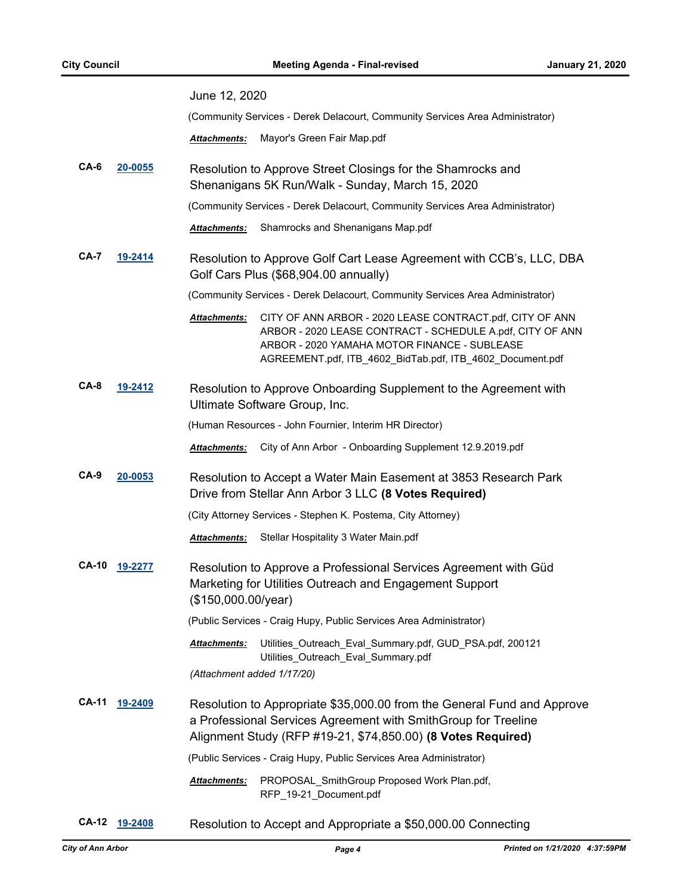|                        |               | June 12, 2020                                                                                                                                                                                                                                      |  |
|------------------------|---------------|----------------------------------------------------------------------------------------------------------------------------------------------------------------------------------------------------------------------------------------------------|--|
|                        |               | (Community Services - Derek Delacourt, Community Services Area Administrator)                                                                                                                                                                      |  |
|                        |               | Mayor's Green Fair Map.pdf<br>Attachments:                                                                                                                                                                                                         |  |
| $CA-6$                 | 20-0055       | Resolution to Approve Street Closings for the Shamrocks and<br>Shenanigans 5K Run/Walk - Sunday, March 15, 2020                                                                                                                                    |  |
|                        |               | (Community Services - Derek Delacourt, Community Services Area Administrator)                                                                                                                                                                      |  |
|                        |               | Shamrocks and Shenanigans Map.pdf<br><b>Attachments:</b>                                                                                                                                                                                           |  |
| <b>CA-7</b>            | 19-2414       | Resolution to Approve Golf Cart Lease Agreement with CCB's, LLC, DBA<br>Golf Cars Plus (\$68,904.00 annually)                                                                                                                                      |  |
|                        |               | (Community Services - Derek Delacourt, Community Services Area Administrator)                                                                                                                                                                      |  |
|                        |               | Attachments:<br>CITY OF ANN ARBOR - 2020 LEASE CONTRACT.pdf, CITY OF ANN<br>ARBOR - 2020 LEASE CONTRACT - SCHEDULE A.pdf, CITY OF ANN<br>ARBOR - 2020 YAMAHA MOTOR FINANCE - SUBLEASE<br>AGREEMENT.pdf, ITB_4602_BidTab.pdf, ITB_4602_Document.pdf |  |
| <b>CA-8</b><br>19-2412 |               | Resolution to Approve Onboarding Supplement to the Agreement with<br>Ultimate Software Group, Inc.                                                                                                                                                 |  |
|                        |               | (Human Resources - John Fournier, Interim HR Director)                                                                                                                                                                                             |  |
|                        |               | City of Ann Arbor - Onboarding Supplement 12.9.2019.pdf<br>Attachments:                                                                                                                                                                            |  |
| CA-9                   | 20-0053       | Resolution to Accept a Water Main Easement at 3853 Research Park<br>Drive from Stellar Ann Arbor 3 LLC (8 Votes Required)                                                                                                                          |  |
|                        |               | (City Attorney Services - Stephen K. Postema, City Attorney)                                                                                                                                                                                       |  |
|                        |               | Stellar Hospitality 3 Water Main.pdf<br><b>Attachments:</b>                                                                                                                                                                                        |  |
| <b>CA-10</b>           | 19-2277       | Resolution to Approve a Professional Services Agreement with Güd<br>Marketing for Utilities Outreach and Engagement Support<br>(\$150,000.00/year)                                                                                                 |  |
|                        |               | (Public Services - Craig Hupy, Public Services Area Administrator)                                                                                                                                                                                 |  |
|                        |               | Attachments:<br>Utilities_Outreach_Eval_Summary.pdf, GUD_PSA.pdf, 200121<br>Utilities_Outreach_Eval_Summary.pdf                                                                                                                                    |  |
|                        |               | (Attachment added 1/17/20)                                                                                                                                                                                                                         |  |
| CA-11                  | 19-2409       | Resolution to Appropriate \$35,000.00 from the General Fund and Approve<br>a Professional Services Agreement with SmithGroup for Treeline<br>Alignment Study (RFP #19-21, \$74,850.00) (8 Votes Required)                                          |  |
|                        |               | (Public Services - Craig Hupy, Public Services Area Administrator)                                                                                                                                                                                 |  |
|                        |               | Attachments:<br>PROPOSAL_SmithGroup Proposed Work Plan.pdf,<br>RFP_19-21_Document.pdf                                                                                                                                                              |  |
|                        | CA-12 19-2408 | Resolution to Accept and Appropriate a \$50,000.00 Connecting                                                                                                                                                                                      |  |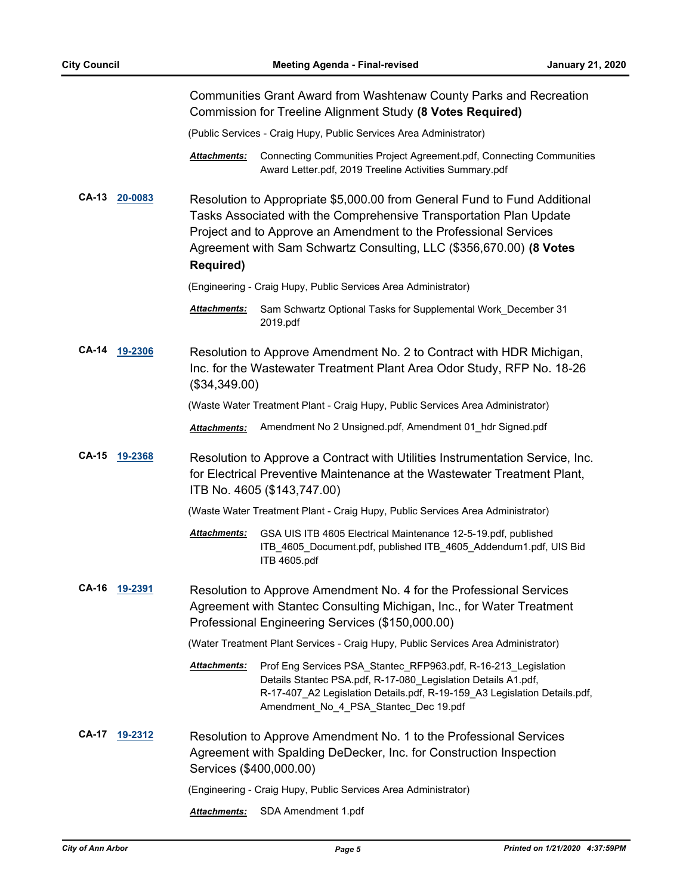|              |         |                         | Communities Grant Award from Washtenaw County Parks and Recreation<br>Commission for Treeline Alignment Study (8 Votes Required)                                                                                                                                                           |
|--------------|---------|-------------------------|--------------------------------------------------------------------------------------------------------------------------------------------------------------------------------------------------------------------------------------------------------------------------------------------|
|              |         |                         | (Public Services - Craig Hupy, Public Services Area Administrator)                                                                                                                                                                                                                         |
|              |         | Attachments:            | Connecting Communities Project Agreement.pdf, Connecting Communities<br>Award Letter.pdf, 2019 Treeline Activities Summary.pdf                                                                                                                                                             |
| <b>CA-13</b> | 20-0083 | <b>Required)</b>        | Resolution to Appropriate \$5,000.00 from General Fund to Fund Additional<br>Tasks Associated with the Comprehensive Transportation Plan Update<br>Project and to Approve an Amendment to the Professional Services<br>Agreement with Sam Schwartz Consulting, LLC (\$356,670.00) (8 Votes |
|              |         |                         | (Engineering - Craig Hupy, Public Services Area Administrator)                                                                                                                                                                                                                             |
|              |         | Attachments:            | Sam Schwartz Optional Tasks for Supplemental Work_December 31<br>2019.pdf                                                                                                                                                                                                                  |
| <b>CA-14</b> | 19-2306 | (\$34,349.00)           | Resolution to Approve Amendment No. 2 to Contract with HDR Michigan,<br>Inc. for the Wastewater Treatment Plant Area Odor Study, RFP No. 18-26                                                                                                                                             |
|              |         |                         | (Waste Water Treatment Plant - Craig Hupy, Public Services Area Administrator)                                                                                                                                                                                                             |
|              |         | Attachments:            | Amendment No 2 Unsigned.pdf, Amendment 01_hdr Signed.pdf                                                                                                                                                                                                                                   |
| <b>CA-15</b> | 19-2368 |                         | Resolution to Approve a Contract with Utilities Instrumentation Service, Inc.<br>for Electrical Preventive Maintenance at the Wastewater Treatment Plant,<br>ITB No. 4605 (\$143,747.00)                                                                                                   |
|              |         |                         | (Waste Water Treatment Plant - Craig Hupy, Public Services Area Administrator)                                                                                                                                                                                                             |
|              |         | Attachments:            | GSA UIS ITB 4605 Electrical Maintenance 12-5-19.pdf, published<br>ITB 4605 Document.pdf, published ITB 4605 Addendum1.pdf, UIS Bid<br>ITB 4605.pdf                                                                                                                                         |
| <b>CA-16</b> | 19-2391 |                         | Resolution to Approve Amendment No. 4 for the Professional Services<br>Agreement with Stantec Consulting Michigan, Inc., for Water Treatment<br>Professional Engineering Services (\$150,000.00)                                                                                           |
|              |         |                         | (Water Treatment Plant Services - Craig Hupy, Public Services Area Administrator)                                                                                                                                                                                                          |
|              |         | Attachments:            | Prof Eng Services PSA_Stantec_RFP963.pdf, R-16-213_Legislation<br>Details Stantec PSA.pdf, R-17-080_Legislation Details A1.pdf,<br>R-17-407_A2 Legislation Details.pdf, R-19-159_A3 Legislation Details.pdf,<br>Amendment_No_4_PSA_Stantec_Dec 19.pdf                                      |
| <b>CA-17</b> | 19-2312 | Services (\$400,000.00) | Resolution to Approve Amendment No. 1 to the Professional Services<br>Agreement with Spalding DeDecker, Inc. for Construction Inspection                                                                                                                                                   |
|              |         |                         | (Engineering - Craig Hupy, Public Services Area Administrator)                                                                                                                                                                                                                             |
|              |         | <b>Attachments:</b>     | SDA Amendment 1.pdf                                                                                                                                                                                                                                                                        |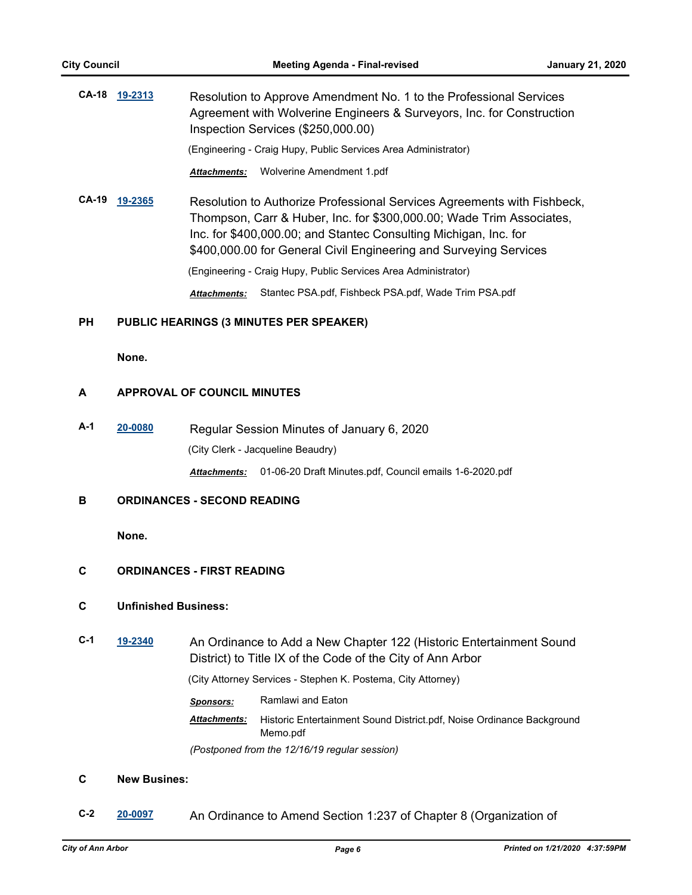|              | CA-18 19-2313 | Resolution to Approve Amendment No. 1 to the Professional Services<br>Agreement with Wolverine Engineers & Surveyors, Inc. for Construction<br>Inspection Services (\$250,000.00)                                   |  |
|--------------|---------------|---------------------------------------------------------------------------------------------------------------------------------------------------------------------------------------------------------------------|--|
|              |               | (Engineering - Craig Hupy, Public Services Area Administrator)                                                                                                                                                      |  |
|              |               | Wolverine Amendment 1.pdf<br><b>Attachments:</b>                                                                                                                                                                    |  |
| <b>CA-19</b> | 19-2365       | Resolution to Authorize Professional Services Agreements with Fishbeck,<br>Thompson, Carr & Huber, Inc. for \$300,000.00; Wade Trim Associates,<br>Inc. for \$400,000.00; and Stantec Consulting Michigan, Inc. for |  |

\$400,000.00 for General Civil Engineering and Surveying Services

(Engineering - Craig Hupy, Public Services Area Administrator)

*Attachments:* Stantec PSA.pdf, Fishbeck PSA.pdf, Wade Trim PSA.pdf

#### **PH PUBLIC HEARINGS (3 MINUTES PER SPEAKER)**

**None.**

#### **A APPROVAL OF COUNCIL MINUTES**

**A-1 [20-0080](http://a2gov.legistar.com/gateway.aspx?M=L&ID=24119)** Regular Session Minutes of January 6, 2020 (City Clerk - Jacqueline Beaudry) *Attachments:* 01-06-20 Draft Minutes.pdf, Council emails 1-6-2020.pdf

#### **B ORDINANCES - SECOND READING**

**None.**

#### **C ORDINANCES - FIRST READING**

#### **C Unfinished Business:**

**C-1 [19-2340](http://a2gov.legistar.com/gateway.aspx?M=L&ID=23960)** An Ordinance to Add a New Chapter 122 (Historic Entertainment Sound District) to Title IX of the Code of the City of Ann Arbor

(City Attorney Services - Stephen K. Postema, City Attorney)

- *Sponsors:* Ramlawi and Eaton
- Historic Entertainment Sound District.pdf, Noise Ordinance Background Memo.pdf *Attachments:*

*(Postponed from the 12/16/19 regular session)*

#### **C New Busines:**

**C-2 [20-0097](http://a2gov.legistar.com/gateway.aspx?M=L&ID=24136)** An Ordinance to Amend Section 1:237 of Chapter 8 (Organization of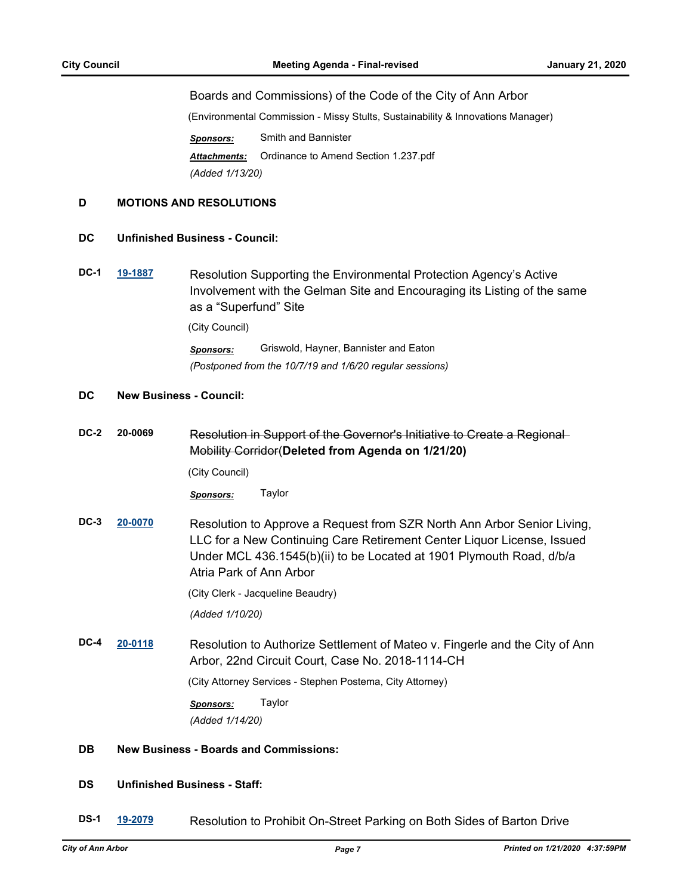#### Boards and Commissions) of the Code of the City of Ann Arbor

(Environmental Commission - Missy Stults, Sustainability & Innovations Manager)

*Sponsors:* Smith and Bannister *Attachments:* Ordinance to Amend Section 1.237.pdf *(Added 1/13/20)*

#### **D MOTIONS AND RESOLUTIONS**

#### **DC Unfinished Business - Council:**

**DC-1 [19-1887](http://a2gov.legistar.com/gateway.aspx?M=L&ID=23527)** Resolution Supporting the Environmental Protection Agency's Active Involvement with the Gelman Site and Encouraging its Listing of the same as a "Superfund" Site

(City Council)

*Sponsors:* Griswold, Hayner, Bannister and Eaton *(Postponed from the 10/7/19 and 1/6/20 regular sessions)*

#### **DC New Business - Council:**

**DC-2 20-0069** Resolution in Support of the Governor's Initiative to Create a Regional Mobility Corridor(**Deleted from Agenda on 1/21/20)**

(City Council)

*Sponsors:* Taylor

**DC-3 [20-0070](http://a2gov.legistar.com/gateway.aspx?M=L&ID=24109)** Resolution to Approve a Request from SZR North Ann Arbor Senior Living, LLC for a New Continuing Care Retirement Center Liquor License, Issued Under MCL 436.1545(b)(ii) to be Located at 1901 Plymouth Road, d/b/a Atria Park of Ann Arbor

(City Clerk - Jacqueline Beaudry)

*(Added 1/10/20)*

**DC-4 [20-0118](http://a2gov.legistar.com/gateway.aspx?M=L&ID=24154)** Resolution to Authorize Settlement of Mateo v. Fingerle and the City of Ann Arbor, 22nd Circuit Court, Case No. 2018-1114-CH

(City Attorney Services - Stephen Postema, City Attorney)

*Sponsors:* Taylor

*(Added 1/14/20)*

#### **DB New Business - Boards and Commissions:**

#### **DS Unfinished Business - Staff:**

**DS-1 [19-2079](http://a2gov.legistar.com/gateway.aspx?M=L&ID=23706)** Resolution to Prohibit On-Street Parking on Both Sides of Barton Drive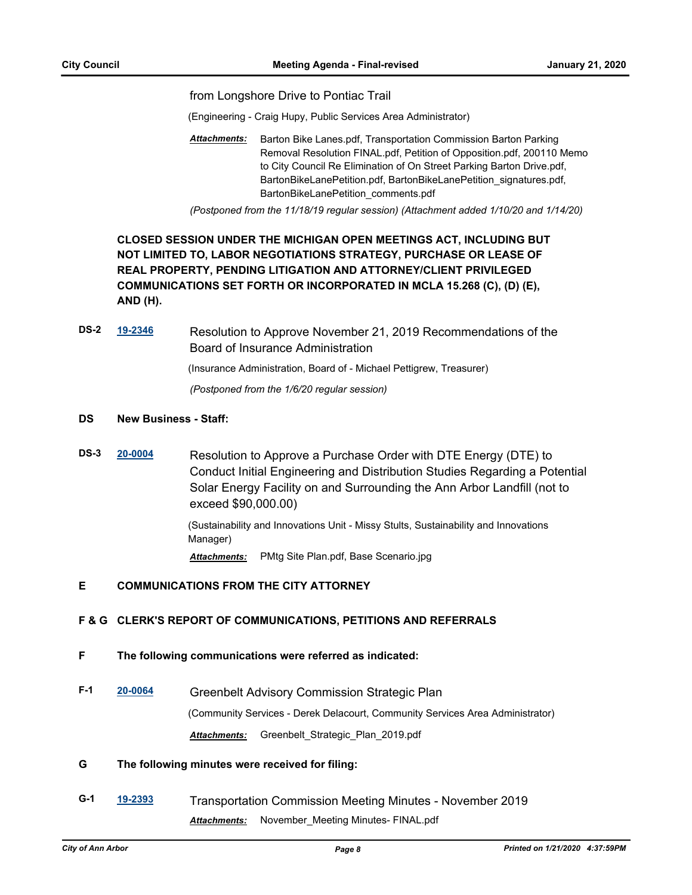from Longshore Drive to Pontiac Trail

(Engineering - Craig Hupy, Public Services Area Administrator)

Barton Bike Lanes.pdf, Transportation Commission Barton Parking Removal Resolution FINAL.pdf, Petition of Opposition.pdf, 200110 Memo to City Council Re Elimination of On Street Parking Barton Drive.pdf, BartonBikeLanePetition.pdf, BartonBikeLanePetition\_signatures.pdf, BartonBikeLanePetition\_comments.pdf *Attachments:*

*(Postponed from the 11/18/19 regular session) (Attachment added 1/10/20 and 1/14/20)*

### **CLOSED SESSION UNDER THE MICHIGAN OPEN MEETINGS ACT, INCLUDING BUT NOT LIMITED TO, LABOR NEGOTIATIONS STRATEGY, PURCHASE OR LEASE OF REAL PROPERTY, PENDING LITIGATION AND ATTORNEY/CLIENT PRIVILEGED COMMUNICATIONS SET FORTH OR INCORPORATED IN MCLA 15.268 (C), (D) (E), AND (H).**

**DS-2 [19-2346](http://a2gov.legistar.com/gateway.aspx?M=L&ID=23966)** Resolution to Approve November 21, 2019 Recommendations of the Board of Insurance Administration

(Insurance Administration, Board of - Michael Pettigrew, Treasurer)

*(Postponed from the 1/6/20 regular session)*

#### **DS New Business - Staff:**

**DS-3 [20-0004](http://a2gov.legistar.com/gateway.aspx?M=L&ID=24043)** Resolution to Approve a Purchase Order with DTE Energy (DTE) to Conduct Initial Engineering and Distribution Studies Regarding a Potential Solar Energy Facility on and Surrounding the Ann Arbor Landfill (not to exceed \$90,000.00)

> (Sustainability and Innovations Unit - Missy Stults, Sustainability and Innovations Manager)

*Attachments:* PMtg Site Plan.pdf, Base Scenario.jpg

#### **E COMMUNICATIONS FROM THE CITY ATTORNEY**

#### **F & G CLERK'S REPORT OF COMMUNICATIONS, PETITIONS AND REFERRALS**

- **F The following communications were referred as indicated:**
- **F-1 [20-0064](http://a2gov.legistar.com/gateway.aspx?M=L&ID=24103)** Greenbelt Advisory Commission Strategic Plan (Community Services - Derek Delacourt, Community Services Area Administrator) *Attachments:* Greenbelt\_Strategic\_Plan\_2019.pdf

#### **G The following minutes were received for filing:**

**G-1 [19-2393](http://a2gov.legistar.com/gateway.aspx?M=L&ID=24013)** Transportation Commission Meeting Minutes - November 2019 *Attachments:* November\_Meeting Minutes- FINAL.pdf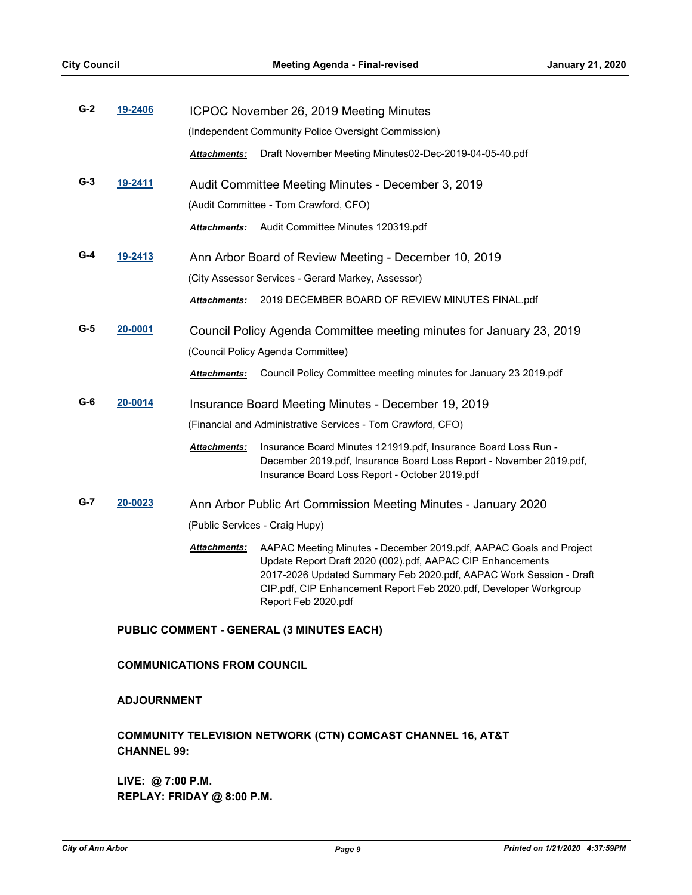| $G-2$ | 19-2406 |                     | ICPOC November 26, 2019 Meeting Minutes                                                                                                                                                                                                                                                            |
|-------|---------|---------------------|----------------------------------------------------------------------------------------------------------------------------------------------------------------------------------------------------------------------------------------------------------------------------------------------------|
|       |         |                     | (Independent Community Police Oversight Commission)                                                                                                                                                                                                                                                |
|       |         | <b>Attachments:</b> | Draft November Meeting Minutes02-Dec-2019-04-05-40.pdf                                                                                                                                                                                                                                             |
| $G-3$ | 19-2411 |                     | Audit Committee Meeting Minutes - December 3, 2019                                                                                                                                                                                                                                                 |
|       |         |                     | (Audit Committee - Tom Crawford, CFO)                                                                                                                                                                                                                                                              |
|       |         | <b>Attachments:</b> | Audit Committee Minutes 120319.pdf                                                                                                                                                                                                                                                                 |
| G-4   | 19-2413 |                     | Ann Arbor Board of Review Meeting - December 10, 2019                                                                                                                                                                                                                                              |
|       |         |                     | (City Assessor Services - Gerard Markey, Assessor)                                                                                                                                                                                                                                                 |
|       |         | <b>Attachments:</b> | 2019 DECEMBER BOARD OF REVIEW MINUTES FINAL.pdf                                                                                                                                                                                                                                                    |
| G-5   | 20-0001 |                     | Council Policy Agenda Committee meeting minutes for January 23, 2019                                                                                                                                                                                                                               |
|       |         |                     | (Council Policy Agenda Committee)                                                                                                                                                                                                                                                                  |
|       |         | <b>Attachments:</b> | Council Policy Committee meeting minutes for January 23 2019.pdf                                                                                                                                                                                                                                   |
| G-6   | 20-0014 |                     | Insurance Board Meeting Minutes - December 19, 2019                                                                                                                                                                                                                                                |
|       |         |                     | (Financial and Administrative Services - Tom Crawford, CFO)                                                                                                                                                                                                                                        |
|       |         | Attachments:        | Insurance Board Minutes 121919.pdf, Insurance Board Loss Run -<br>December 2019.pdf, Insurance Board Loss Report - November 2019.pdf,<br>Insurance Board Loss Report - October 2019.pdf                                                                                                            |
| G-7   | 20-0023 |                     | Ann Arbor Public Art Commission Meeting Minutes - January 2020                                                                                                                                                                                                                                     |
|       |         |                     | (Public Services - Craig Hupy)                                                                                                                                                                                                                                                                     |
|       |         | <b>Attachments:</b> | AAPAC Meeting Minutes - December 2019.pdf, AAPAC Goals and Project<br>Update Report Draft 2020 (002).pdf, AAPAC CIP Enhancements<br>2017-2026 Updated Summary Feb 2020.pdf, AAPAC Work Session - Draft<br>CIP.pdf, CIP Enhancement Report Feb 2020.pdf, Developer Workgroup<br>Report Feb 2020.pdf |

#### **PUBLIC COMMENT - GENERAL (3 MINUTES EACH)**

#### **COMMUNICATIONS FROM COUNCIL**

#### **ADJOURNMENT**

### **COMMUNITY TELEVISION NETWORK (CTN) COMCAST CHANNEL 16, AT&T CHANNEL 99:**

**LIVE: @ 7:00 P.M. REPLAY: FRIDAY @ 8:00 P.M.**